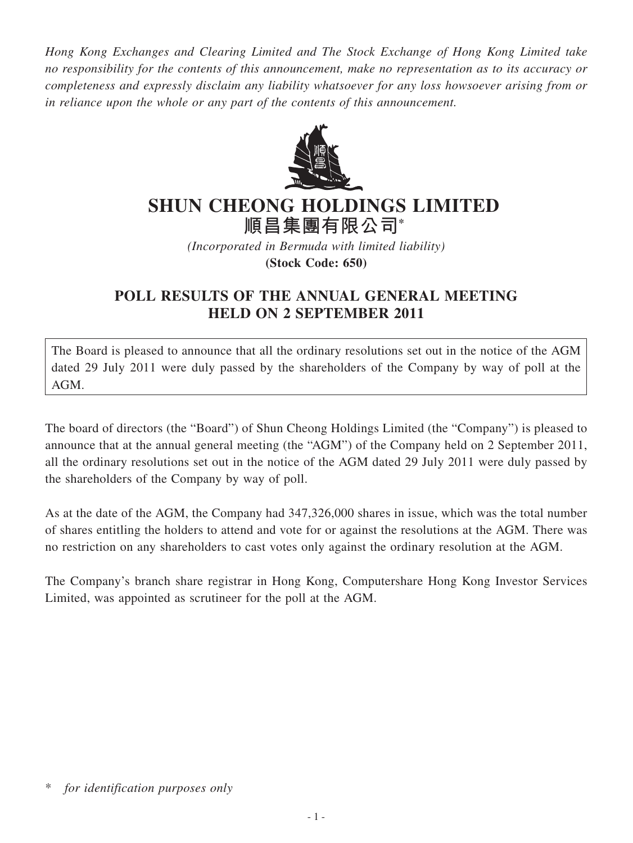*Hong Kong Exchanges and Clearing Limited and The Stock Exchange of Hong Kong Limited take no responsibility for the contents of this announcement, make no representation as to its accuracy or completeness and expressly disclaim any liability whatsoever for any loss howsoever arising from or in reliance upon the whole or any part of the contents of this announcement.*



## **SHUN CHEONG HOLDINGS LIMITED**

**順昌集團有限公司\***

*(Incorporated in Bermuda with limited liability)* **(Stock Code: 650)**

## **POLL RESULTS OF THE ANNUAL GENERAL MEETING HELD ON 2 SEPTEMBER 2011**

The Board is pleased to announce that all the ordinary resolutions set out in the notice of the AGM dated 29 July 2011 were duly passed by the shareholders of the Company by way of poll at the AGM.

The board of directors (the "Board") of Shun Cheong Holdings Limited (the "Company") is pleased to announce that at the annual general meeting (the "AGM") of the Company held on 2 September 2011, all the ordinary resolutions set out in the notice of the AGM dated 29 July 2011 were duly passed by the shareholders of the Company by way of poll.

As at the date of the AGM, the Company had 347,326,000 shares in issue, which was the total number of shares entitling the holders to attend and vote for or against the resolutions at the AGM. There was no restriction on any shareholders to cast votes only against the ordinary resolution at the AGM.

The Company's branch share registrar in Hong Kong, Computershare Hong Kong Investor Services Limited, was appointed as scrutineer for the poll at the AGM.

for *identification purposes only*